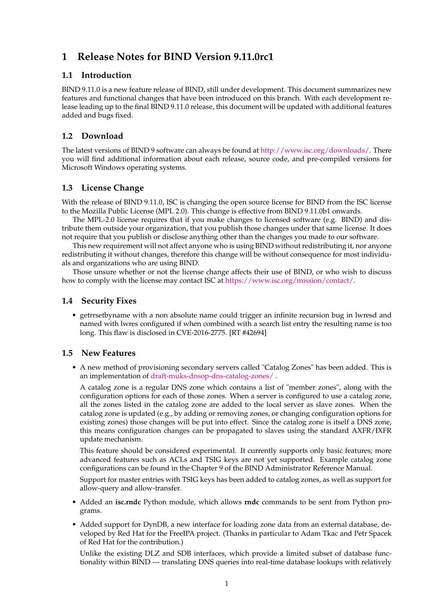# **1 Release Notes for BIND Version 9.11.0rc1**

#### **1.1 Introduction**

BIND 9.11.0 is a new feature release of BIND, still under development. This document summarizes new features and functional changes that have been introduced on this branch. With each development release leading up to the final BIND 9.11.0 release, this document will be updated with additional features added and bugs fixed.

# **1.2 Download**

The latest versions of BIND 9 software can always be found at [http://www.isc.org/downloads/.](http://www.isc.org/downloads/) There you will find additional information about each release, source code, and pre-compiled versions for Microsoft Windows operating systems.

# **1.3 License Change**

With the release of BIND 9.11.0, ISC is changing the open source license for BIND from the ISC license to the Mozilla Public License (MPL 2.0). This change is effective from BIND 9.11.0b1 onwards.

The MPL-2.0 license requires that if you make changes to licensed software (e.g. BIND) and distribute them outside your organization, that you publish those changes under that same license. It does not require that you publish or disclose anything other than the changes you made to our software.

This new requirement will not affect anyone who is using BIND without redistributing it, nor anyone redistributing it without changes, therefore this change will be without consequence for most individuals and organizations who are using BIND.

Those unsure whether or not the license change affects their use of BIND, or who wish to discuss how to comply with the license may contact ISC at [https://www.isc.org/mission/contact/.](https://www.isc.org/mission/contact/)

# **1.4 Security Fixes**

• getrrsetbyname with a non absolute name could trigger an infinite recursion bug in lwresd and named with lwres configured if when combined with a search list entry the resulting name is too long. This flaw is disclosed in CVE-2016-2775. [RT #42694]

# **1.5 New Features**

• A new method of provisioning secondary servers called "Catalog Zones" has been added. This is an implementation of [draft-muks-dnsop-dns-catalog-zones/](https://datatracker.ietf.org/doc/draft-muks-dnsop-dns-catalog-zones/) .

A catalog zone is a regular DNS zone which contains a list of "member zones", along with the configuration options for each of those zones. When a server is configured to use a catalog zone, all the zones listed in the catalog zone are added to the local server as slave zones. When the catalog zone is updated (e.g., by adding or removing zones, or changing configuration options for existing zones) those changes will be put into effect. Since the catalog zone is itself a DNS zone, this means configuration changes can be propagated to slaves using the standard AXFR/IXFR update mechanism.

This feature should be considered experimental. It currently supports only basic features; more advanced features such as ACLs and TSIG keys are not yet supported. Example catalog zone configurations can be found in the Chapter 9 of the BIND Administrator Reference Manual.

Support for master entries with TSIG keys has been added to catalog zones, as well as support for allow-query and allow-transfer.

- Added an **isc.rndc** Python module, which allows **rndc** commands to be sent from Python programs.
- Added support for DynDB, a new interface for loading zone data from an external database, developed by Red Hat for the FreeIPA project. (Thanks in particular to Adam Tkac and Petr Spacek of Red Hat for the contribution.)

Unlike the existing DLZ and SDB interfaces, which provide a limited subset of database functionality within BIND --- translating DNS queries into real-time database lookups with relatively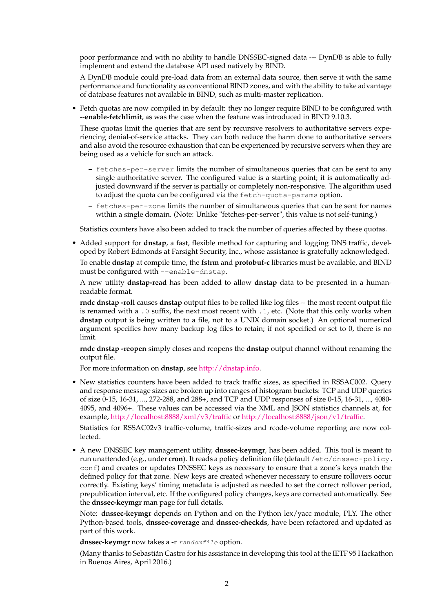poor performance and with no ability to handle DNSSEC-signed data --- DynDB is able to fully implement and extend the database API used natively by BIND.

A DynDB module could pre-load data from an external data source, then serve it with the same performance and functionality as conventional BIND zones, and with the ability to take advantage of database features not available in BIND, such as multi-master replication.

• Fetch quotas are now compiled in by default: they no longer require BIND to be configured with **--enable-fetchlimit**, as was the case when the feature was introduced in BIND 9.10.3.

These quotas limit the queries that are sent by recursive resolvers to authoritative servers experiencing denial-of-service attacks. They can both reduce the harm done to authoritative servers and also avoid the resource exhaustion that can be experienced by recursive servers when they are being used as a vehicle for such an attack.

- **–** fetches-per-server limits the number of simultaneous queries that can be sent to any single authoritative server. The configured value is a starting point; it is automatically adjusted downward if the server is partially or completely non-responsive. The algorithm used to adjust the quota can be configured via the fetch-quota-params option.
- **–** fetches-per-zone limits the number of simultaneous queries that can be sent for names within a single domain. (Note: Unlike "fetches-per-server", this value is not self-tuning.)

Statistics counters have also been added to track the number of queries affected by these quotas.

• Added support for **dnstap**, a fast, flexible method for capturing and logging DNS traffic, developed by Robert Edmonds at Farsight Security, Inc., whose assistance is gratefully acknowledged.

To enable **dnstap** at compile time, the **fstrm** and **protobuf-c** libraries must be available, and BIND must be configured with --enable-dnstap.

A new utility **dnstap-read** has been added to allow **dnstap** data to be presented in a humanreadable format.

**rndc dnstap -roll** causes **dnstap** output files to be rolled like log files -- the most recent output file is renamed with a .0 suffix, the next most recent with .1, etc. (Note that this only works when **dnstap** output is being written to a file, not to a UNIX domain socket.) An optional numerical argument specifies how many backup log files to retain; if not specified or set to 0, there is no limit.

**rndc dnstap -reopen** simply closes and reopens the **dnstap** output channel without renaming the output file.

For more information on **dnstap**, see [http://dnstap.info.](http://dnstap.info)

• New statistics counters have been added to track traffic sizes, as specified in RSSAC002. Query and response message sizes are broken up into ranges of histogram buckets: TCP and UDP queries of size 0-15, 16-31, ..., 272-288, and 288+, and TCP and UDP responses of size 0-15, 16-31, ..., 4080- 4095, and 4096+. These values can be accessed via the XML and JSON statistics channels at, for example, <http://localhost:8888/xml/v3/traffic> or [http://localhost:8888/json/v1/traffic.](http://localhost:8888/json/v1/traffic)

Statistics for RSSAC02v3 traffic-volume, traffic-sizes and rcode-volume reporting are now collected.

• A new DNSSEC key management utility, **dnssec-keymgr**, has been added. This tool is meant to run unattended (e.g., under **cron**). It reads a policy definition file (default /etc/dnssec-policy. conf) and creates or updates DNSSEC keys as necessary to ensure that a zone's keys match the defined policy for that zone. New keys are created whenever necessary to ensure rollovers occur correctly. Existing keys' timing metadata is adjusted as needed to set the correct rollover period, prepublication interval, etc. If the configured policy changes, keys are corrected automatically. See the **dnssec-keymgr** man page for full details.

Note: **dnssec-keymgr** depends on Python and on the Python lex/yacc module, PLY. The other Python-based tools, **dnssec-coverage** and **dnssec-checkds**, have been refactored and updated as part of this work.

dnssec-keymgr now takes a -r randomfile option.

(Many thanks to Sebastián Castro for his assistance in developing this tool at the IETF 95 Hackathon in Buenos Aires, April 2016.)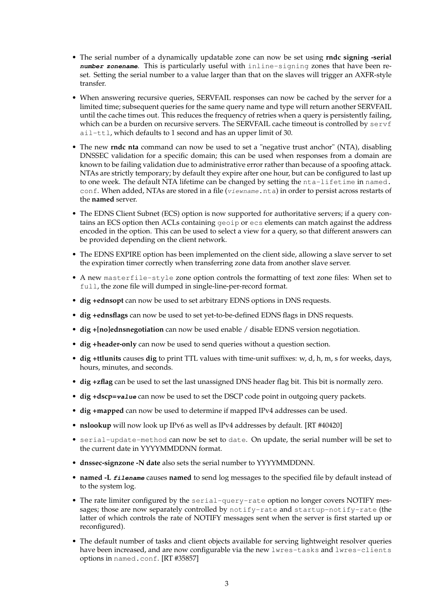- The serial number of a dynamically updatable zone can now be set using **rndc signing -serial number zonename**. This is particularly useful with inline-signing zones that have been reset. Setting the serial number to a value larger than that on the slaves will trigger an AXFR-style transfer.
- When answering recursive queries, SERVFAIL responses can now be cached by the server for a limited time; subsequent queries for the same query name and type will return another SERVFAIL until the cache times out. This reduces the frequency of retries when a query is persistently failing, which can be a burden on recursive servers. The SERVFAIL cache timeout is controlled by servf ail-ttl, which defaults to 1 second and has an upper limit of 30.
- The new **rndc nta** command can now be used to set a "negative trust anchor" (NTA), disabling DNSSEC validation for a specific domain; this can be used when responses from a domain are known to be failing validation due to administrative error rather than because of a spoofing attack. NTAs are strictly temporary; by default they expire after one hour, but can be configured to last up to one week. The default NTA lifetime can be changed by setting the nta-lifetime in named. conf. When added, NTAs are stored in a file (viewname.nta) in order to persist across restarts of the **named** server.
- The EDNS Client Subnet (ECS) option is now supported for authoritative servers; if a query contains an ECS option then ACLs containing geoip or ecs elements can match against the address encoded in the option. This can be used to select a view for a query, so that different answers can be provided depending on the client network.
- The EDNS EXPIRE option has been implemented on the client side, allowing a slave server to set the expiration timer correctly when transferring zone data from another slave server.
- A new masterfile-style zone option controls the formatting of text zone files: When set to full, the zone file will dumped in single-line-per-record format.
- **dig +ednsopt** can now be used to set arbitrary EDNS options in DNS requests.
- **dig +ednsflags** can now be used to set yet-to-be-defined EDNS flags in DNS requests.
- **dig +[no]ednsnegotiation** can now be used enable / disable EDNS version negotiation.
- **dig +header-only** can now be used to send queries without a question section.
- **dig +ttlunits** causes **dig** to print TTL values with time-unit suffixes: w, d, h, m, s for weeks, days, hours, minutes, and seconds.
- **dig +zflag** can be used to set the last unassigned DNS header flag bit. This bit is normally zero.
- **dig +dscp=value** can now be used to set the DSCP code point in outgoing query packets.
- **dig +mapped** can now be used to determine if mapped IPv4 addresses can be used.
- **nslookup** will now look up IPv6 as well as IPv4 addresses by default. [RT #40420]
- serial-update-method can now be set to date. On update, the serial number will be set to the current date in YYYYMMDDNN format.
- **dnssec-signzone -N date** also sets the serial number to YYYYMMDDNN.
- **named -L filename** causes **named** to send log messages to the specified file by default instead of to the system log.
- The rate limiter configured by the serial-query-rate option no longer covers NOTIFY messages; those are now separately controlled by notify-rate and startup-notify-rate (the latter of which controls the rate of NOTIFY messages sent when the server is first started up or reconfigured).
- The default number of tasks and client objects available for serving lightweight resolver queries have been increased, and are now configurable via the new lwres-tasks and lwres-clients options in named.conf. [RT #35857]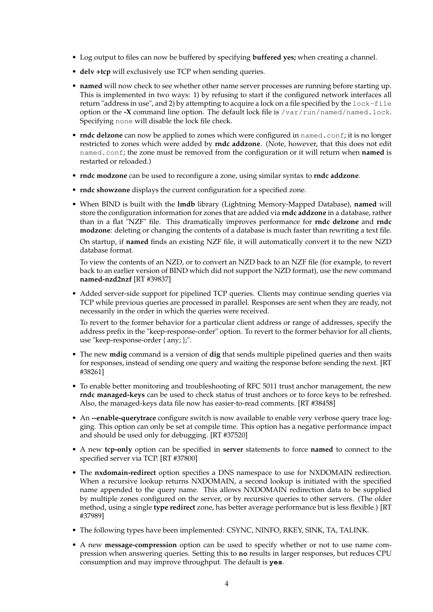- Log output to files can now be buffered by specifying **buffered yes;** when creating a channel.
- **delv +tcp** will exclusively use TCP when sending queries.
- **named** will now check to see whether other name server processes are running before starting up. This is implemented in two ways: 1) by refusing to start if the configured network interfaces all return "address in use", and 2) by attempting to acquire a lock on a file specified by the lock-file option or the **-X** command line option. The default lock file is /var/run/named/named.lock. Specifying none will disable the lock file check.
- **rndc delzone** can now be applied to zones which were configured in named.conf; it is no longer restricted to zones which were added by **rndc addzone**. (Note, however, that this does not edit named.conf; the zone must be removed from the configuration or it will return when **named** is restarted or reloaded.)
- **rndc modzone** can be used to reconfigure a zone, using similar syntax to **rndc addzone**.
- **rndc showzone** displays the current configuration for a specified zone.
- When BIND is built with the **lmdb** library (Lightning Memory-Mapped Database), **named** will store the configuration information for zones that are added via **rndc addzone** in a database, rather than in a flat "NZF" file. This dramatically improves performance for **rndc delzone** and **rndc modzone**: deleting or changing the contents of a database is much faster than rewriting a text file.

On startup, if **named** finds an existing NZF file, it will automatically convert it to the new NZD database format.

To view the contents of an NZD, or to convert an NZD back to an NZF file (for example, to revert back to an earlier version of BIND which did not support the NZD format), use the new command **named-nzd2nzf** [RT #39837]

• Added server-side support for pipelined TCP queries. Clients may continue sending queries via TCP while previous queries are processed in parallel. Responses are sent when they are ready, not necessarily in the order in which the queries were received.

To revert to the former behavior for a particular client address or range of addresses, specify the address prefix in the "keep-response-order" option. To revert to the former behavior for all clients, use "keep-response-order { any; };".

- The new **mdig** command is a version of **dig** that sends multiple pipelined queries and then waits for responses, instead of sending one query and waiting the response before sending the next. [RT #38261]
- To enable better monitoring and troubleshooting of RFC 5011 trust anchor management, the new **rndc managed-keys** can be used to check status of trust anchors or to force keys to be refreshed. Also, the managed-keys data file now has easier-to-read comments. [RT #38458]
- An **--enable-querytrace** configure switch is now available to enable very verbose query trace logging. This option can only be set at compile time. This option has a negative performance impact and should be used only for debugging. [RT #37520]
- A new **tcp-only** option can be specified in **server** statements to force **named** to connect to the specified server via TCP. [RT #37800]
- The **nxdomain-redirect** option specifies a DNS namespace to use for NXDOMAIN redirection. When a recursive lookup returns NXDOMAIN, a second lookup is initiated with the specified name appended to the query name. This allows NXDOMAIN redirection data to be supplied by multiple zones configured on the server, or by recursive queries to other servers. (The older method, using a single **type redirect** zone, has better average performance but is less flexible.) [RT #37989]
- The following types have been implemented: CSYNC, NINFO, RKEY, SINK, TA, TALINK.
- A new **message-compression** option can be used to specify whether or not to use name compression when answering queries. Setting this to **no** results in larger responses, but reduces CPU consumption and may improve throughput. The default is **yes**.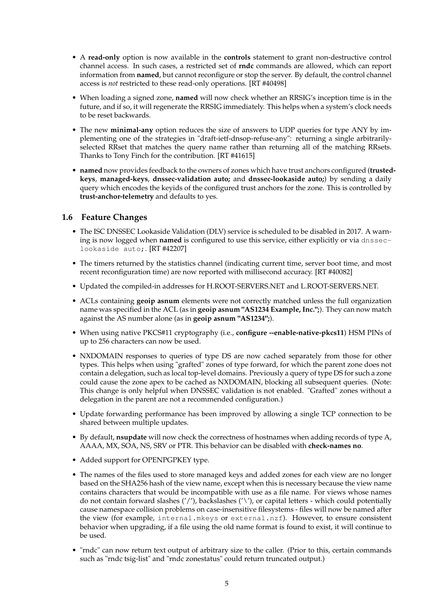- A **read-only** option is now available in the **controls** statement to grant non-destructive control channel access. In such cases, a restricted set of **rndc** commands are allowed, which can report information from **named**, but cannot reconfigure or stop the server. By default, the control channel access is *not* restricted to these read-only operations. [RT #40498]
- When loading a signed zone, **named** will now check whether an RRSIG's inception time is in the future, and if so, it will regenerate the RRSIG immediately. This helps when a system's clock needs to be reset backwards.
- The new **minimal-any** option reduces the size of answers to UDP queries for type ANY by implementing one of the strategies in "draft-ietf-dnsop-refuse-any": returning a single arbitrarilyselected RRset that matches the query name rather than returning all of the matching RRsets. Thanks to Tony Finch for the contribution. [RT #41615]
- **named** now provides feedback to the owners of zones which have trust anchors configured (**trustedkeys**, **managed-keys**, **dnssec-validation auto;** and **dnssec-lookaside auto;**) by sending a daily query which encodes the keyids of the configured trust anchors for the zone. This is controlled by **trust-anchor-telemetry** and defaults to yes.

#### **1.6 Feature Changes**

- The ISC DNSSEC Lookaside Validation (DLV) service is scheduled to be disabled in 2017. A warning is now logged when **named** is configured to use this service, either explicitly or via dnsseclookaside auto;. [RT #42207]
- The timers returned by the statistics channel (indicating current time, server boot time, and most recent reconfiguration time) are now reported with millisecond accuracy. [RT #40082]
- Updated the compiled-in addresses for H.ROOT-SERVERS.NET and L.ROOT-SERVERS.NET.
- ACLs containing **geoip asnum** elements were not correctly matched unless the full organization name was specified in the ACL (as in **geoip asnum "AS1234 Example, Inc.";**). They can now match against the AS number alone (as in **geoip asnum "AS1234";**).
- When using native PKCS#11 cryptography (i.e., **configure --enable-native-pkcs11**) HSM PINs of up to 256 characters can now be used.
- NXDOMAIN responses to queries of type DS are now cached separately from those for other types. This helps when using "grafted" zones of type forward, for which the parent zone does not contain a delegation, such as local top-level domains. Previously a query of type DS for such a zone could cause the zone apex to be cached as NXDOMAIN, blocking all subsequent queries. (Note: This change is only helpful when DNSSEC validation is not enabled. "Grafted" zones without a delegation in the parent are not a recommended configuration.)
- Update forwarding performance has been improved by allowing a single TCP connection to be shared between multiple updates.
- By default, **nsupdate** will now check the correctness of hostnames when adding records of type A, AAAA, MX, SOA, NS, SRV or PTR. This behavior can be disabled with **check-names no**.
- Added support for OPENPGPKEY type.
- The names of the files used to store managed keys and added zones for each view are no longer based on the SHA256 hash of the view name, except when this is necessary because the view name contains characters that would be incompatible with use as a file name. For views whose names do not contain forward slashes ('/'), backslashes ('\'), or capital letters - which could potentially cause namespace collision problems on case-insensitive filesystems - files will now be named after the view (for example, internal.mkeys or external.nzf). However, to ensure consistent behavior when upgrading, if a file using the old name format is found to exist, it will continue to be used.
- "rndc" can now return text output of arbitrary size to the caller. (Prior to this, certain commands such as "rndc tsig-list" and "rndc zonestatus" could return truncated output.)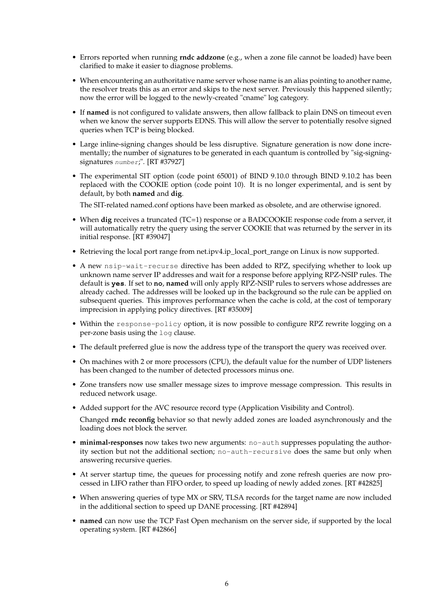- Errors reported when running **rndc addzone** (e.g., when a zone file cannot be loaded) have been clarified to make it easier to diagnose problems.
- When encountering an authoritative name server whose name is an alias pointing to another name, the resolver treats this as an error and skips to the next server. Previously this happened silently; now the error will be logged to the newly-created "cname" log category.
- If **named** is not configured to validate answers, then allow fallback to plain DNS on timeout even when we know the server supports EDNS. This will allow the server to potentially resolve signed queries when TCP is being blocked.
- Large inline-signing changes should be less disruptive. Signature generation is now done incrementally; the number of signatures to be generated in each quantum is controlled by "sig-signingsignatures number;". [RT #37927]
- The experimental SIT option (code point 65001) of BIND 9.10.0 through BIND 9.10.2 has been replaced with the COOKIE option (code point 10). It is no longer experimental, and is sent by default, by both **named** and **dig**.

The SIT-related named.conf options have been marked as obsolete, and are otherwise ignored.

- When **dig** receives a truncated (TC=1) response or a BADCOOKIE response code from a server, it will automatically retry the query using the server COOKIE that was returned by the server in its initial response. [RT #39047]
- Retrieving the local port range from net.ipv4.ip\_local\_port\_range on Linux is now supported.
- A new nsip-wait-recurse directive has been added to RPZ, specifying whether to look up unknown name server IP addresses and wait for a response before applying RPZ-NSIP rules. The default is **yes**. If set to **no**, **named** will only apply RPZ-NSIP rules to servers whose addresses are already cached. The addresses will be looked up in the background so the rule can be applied on subsequent queries. This improves performance when the cache is cold, at the cost of temporary imprecision in applying policy directives. [RT #35009]
- Within the response-policy option, it is now possible to configure RPZ rewrite logging on a per-zone basis using the log clause.
- The default preferred glue is now the address type of the transport the query was received over.
- On machines with 2 or more processors (CPU), the default value for the number of UDP listeners has been changed to the number of detected processors minus one.
- Zone transfers now use smaller message sizes to improve message compression. This results in reduced network usage.
- Added support for the AVC resource record type (Application Visibility and Control).

Changed **rndc reconfig** behavior so that newly added zones are loaded asynchronously and the loading does not block the server.

- **minimal-responses** now takes two new arguments: no-auth suppresses populating the authority section but not the additional section; no-auth-recursive does the same but only when answering recursive queries.
- At server startup time, the queues for processing notify and zone refresh queries are now processed in LIFO rather than FIFO order, to speed up loading of newly added zones. [RT #42825]
- When answering queries of type MX or SRV, TLSA records for the target name are now included in the additional section to speed up DANE processing. [RT #42894]
- **named** can now use the TCP Fast Open mechanism on the server side, if supported by the local operating system. [RT #42866]